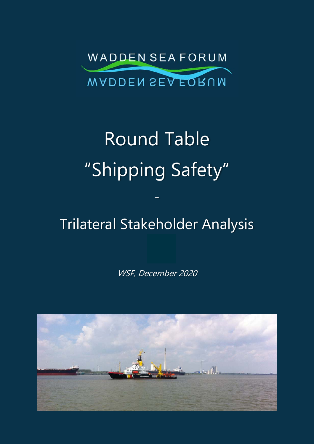

# Round Table "Shipping Safety"

# Trilateral Stakeholder Analysis

-

WSF, December 2020

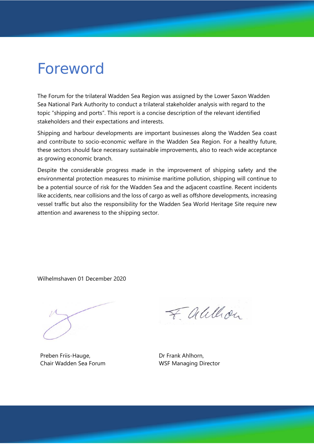# Foreword

The Forum for the trilateral Wadden Sea Region was assigned by the Lower Saxon Wadden Sea National Park Authority to conduct a trilateral stakeholder analysis with regard to the topic "shipping and ports". This report is a concise description of the relevant identified stakeholders and their expectations and interests.

Shipping and harbour developments are important businesses along the Wadden Sea coast and contribute to socio-economic welfare in the Wadden Sea Region. For a healthy future, these sectors should face necessary sustainable improvements, also to reach wide acceptance as growing economic branch.

Despite the considerable progress made in the improvement of shipping safety and the environmental protection measures to minimise maritime pollution, shipping will continue to be a potential source of risk for the Wadden Sea and the adjacent coastline. Recent incidents like accidents, near collisions and the loss of cargo as well as offshore developments, increasing vessel traffic but also the responsibility for the Wadden Sea World Heritage Site require new attention and awareness to the shipping sector.

Wilhelmshaven 01 December 2020

Preben Friis-Hauge, Chair Wadden Sea Forum

Falllon

Dr Frank Ahlhorn, WSF Managing Director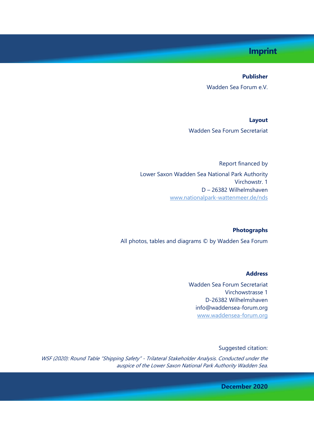# **Imprint**

#### **Publisher**

Wadden Sea Forum e.V.

**Layout**  Wadden Sea Forum Secretariat

Report financed by Lower Saxon Wadden Sea National Park Authority Virchowstr. 1 D – 26382 Wilhelmshaven www.nationalpark-wattenmeer.de/nds

#### **Photographs**

All photos, tables and diagrams © by Wadden Sea Forum

#### **Address**

Wadden Sea Forum Secretariat Virchowstrasse 1 D-26382 Wilhelmshaven info@waddensea-forum.org www.waddensea-forum.org

Suggested citation:

WSF (2020): Round Table "Shipping Safety" - Trilateral Stakeholder Analysis. Conducted under the auspice of the Lower Saxon National Park Authority Wadden Sea.

**December 2020**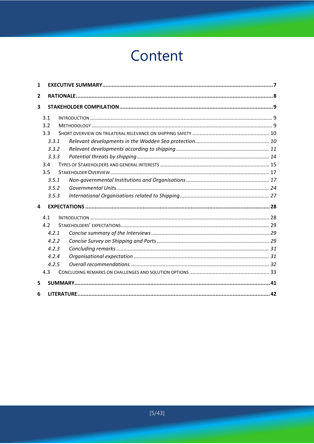# Content

| 1              |       |  |  |  |
|----------------|-------|--|--|--|
| $\overline{2}$ |       |  |  |  |
| 3              |       |  |  |  |
|                | 3.1   |  |  |  |
|                | 3.2   |  |  |  |
|                | 3.3   |  |  |  |
|                | 3.3.1 |  |  |  |
|                | 3.3.2 |  |  |  |
|                | 3.3.3 |  |  |  |
|                | 3.4   |  |  |  |
|                | 3.5   |  |  |  |
|                | 3.5.1 |  |  |  |
|                | 3.5.2 |  |  |  |
|                | 3.5.3 |  |  |  |
| 4              |       |  |  |  |
|                | 4.1   |  |  |  |
|                | 4.2   |  |  |  |
|                | 4.2.1 |  |  |  |
|                | 4.2.2 |  |  |  |
|                | 4.2.3 |  |  |  |
|                | 4.2.4 |  |  |  |
|                | 4.2.5 |  |  |  |
|                | 4.3   |  |  |  |
| 5              |       |  |  |  |
| 6              |       |  |  |  |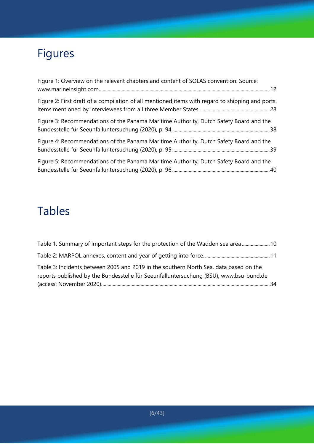# Figures

| Figure 1: Overview on the relevant chapters and content of SOLAS convention. Source:             |
|--------------------------------------------------------------------------------------------------|
| Figure 2: First draft of a compilation of all mentioned items with regard to shipping and ports. |
| Figure 3: Recommendations of the Panama Maritime Authority, Dutch Safety Board and the           |
| Figure 4: Recommendations of the Panama Maritime Authority, Dutch Safety Board and the           |
| Figure 5: Recommendations of the Panama Maritime Authority, Dutch Safety Board and the           |

# Tables

| Table 1: Summary of important steps for the protection of the Wadden sea area  10      |  |
|----------------------------------------------------------------------------------------|--|
|                                                                                        |  |
| Table 3: Incidents between 2005 and 2019 in the southern North Sea, data based on the  |  |
| reports published by the Bundesstelle für Seeunfalluntersuchung (BSU), www.bsu-bund.de |  |
|                                                                                        |  |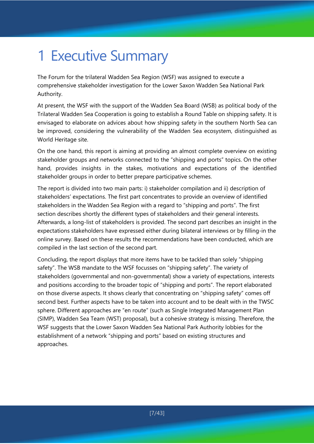# 1 Executive Summary

The Forum for the trilateral Wadden Sea Region (WSF) was assigned to execute a comprehensive stakeholder investigation for the Lower Saxon Wadden Sea National Park Authority.

At present, the WSF with the support of the Wadden Sea Board (WSB) as political body of the Trilateral Wadden Sea Cooperation is going to establish a Round Table on shipping safety. It is envisaged to elaborate on advices about how shipping safety in the southern North Sea can be improved, considering the vulnerability of the Wadden Sea ecosystem, distinguished as World Heritage site.

On the one hand, this report is aiming at providing an almost complete overview on existing stakeholder groups and networks connected to the "shipping and ports" topics. On the other hand, provides insights in the stakes, motivations and expectations of the identified stakeholder groups in order to better prepare participative schemes.

The report is divided into two main parts: i) stakeholder compilation and ii) description of stakeholders' expectations. The first part concentrates to provide an overview of identified stakeholders in the Wadden Sea Region with a regard to "shipping and ports". The first section describes shortly the different types of stakeholders and their general interests. Afterwards, a long-list of stakeholders is provided. The second part describes an insight in the expectations stakeholders have expressed either during bilateral interviews or by filling-in the online survey. Based on these results the recommendations have been conducted, which are compiled in the last section of the second part.

Concluding, the report displays that more items have to be tackled than solely "shipping safety". The WSB mandate to the WSF focusses on "shipping safety". The variety of stakeholders (governmental and non-governmental) show a variety of expectations, interests and positions according to the broader topic of "shipping and ports". The report elaborated on those diverse aspects. It shows clearly that concentrating on "shipping safety" comes off second best. Further aspects have to be taken into account and to be dealt with in the TWSC sphere. Different approaches are "en route" (such as Single Integrated Management Plan (SIMP), Wadden Sea Team (WST) proposal), but a cohesive strategy is missing. Therefore, the WSF suggests that the Lower Saxon Wadden Sea National Park Authority lobbies for the establishment of a network "shipping and ports" based on existing structures and approaches.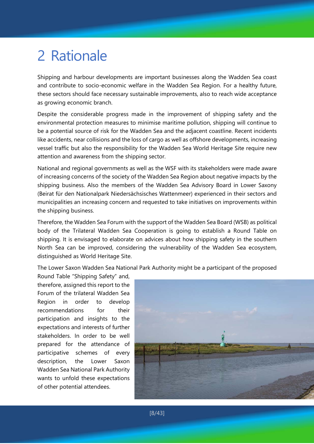# 2 Rationale

Shipping and harbour developments are important businesses along the Wadden Sea coast and contribute to socio-economic welfare in the Wadden Sea Region. For a healthy future, these sectors should face necessary sustainable improvements, also to reach wide acceptance as growing economic branch.

Despite the considerable progress made in the improvement of shipping safety and the environmental protection measures to minimise maritime pollution, shipping will continue to be a potential source of risk for the Wadden Sea and the adjacent coastline. Recent incidents like accidents, near collisions and the loss of cargo as well as offshore developments, increasing vessel traffic but also the responsibility for the Wadden Sea World Heritage Site require new attention and awareness from the shipping sector.

National and regional governments as well as the WSF with its stakeholders were made aware of increasing concerns of the society of the Wadden Sea Region about negative impacts by the shipping business. Also the members of the Wadden Sea Advisory Board in Lower Saxony (Beirat für den Nationalpark Niedersächsisches Wattenmeer) experienced in their sectors and municipalities an increasing concern and requested to take initiatives on improvements within the shipping business.

Therefore, the Wadden Sea Forum with the support of the Wadden Sea Board (WSB) as political body of the Trilateral Wadden Sea Cooperation is going to establish a Round Table on shipping. It is envisaged to elaborate on advices about how shipping safety in the southern North Sea can be improved, considering the vulnerability of the Wadden Sea ecosystem, distinguished as World Heritage Site.

The Lower Saxon Wadden Sea National Park Authority might be a participant of the proposed

Round Table "Shipping Safety" and, therefore, assigned this report to the Forum of the trilateral Wadden Sea Region in order to develop recommendations for their participation and insights to the expectations and interests of further stakeholders. In order to be well prepared for the attendance of participative schemes of every description, the Lower Saxon Wadden Sea National Park Authority wants to unfold these expectations of other potential attendees.

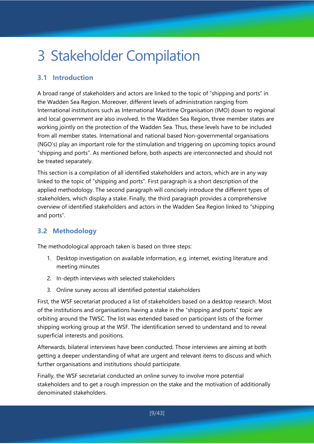# 3 Stakeholder Compilation

# **3.1 Introduction**

A broad range of stakeholders and actors are linked to the topic of "shipping and ports" in the Wadden Sea Region. Moreover, different levels of administration ranging from International institutions such as International Maritime Organisation (IMO) down to regional and local government are also involved. In the Wadden Sea Region, three member states are working jointly on the protection of the Wadden Sea. Thus, these levels have to be included from all member states. International and national based Non-governmental organisations (NGO's) play an important role for the stimulation and triggering on upcoming topics around "shipping and ports". As mentioned before, both aspects are interconnected and should not be treated separately.

This section is a compilation of all identified stakeholders and actors, which are in any way linked to the topic of "shipping and ports". First paragraph is a short description of the applied methodology. The second paragraph will concisely introduce the different types of stakeholders, which display a stake. Finally, the third paragraph provides a comprehensive overview of identified stakeholders and actors in the Wadden Sea Region linked to "shipping and ports".

# **3.2 Methodology**

The methodological approach taken is based on three steps:

- 1. Desktop investigation on available information, e.g. internet, existing literature and meeting minutes
- 2. In-depth interviews with selected stakeholders
- 3. Online survey across all identified potential stakeholders

First, the WSF secretariat produced a list of stakeholders based on a desktop research. Most of the institutions and organisations having a stake in the "shipping and ports" topic are orbiting around the TWSC. The list was extended based on participant lists of the former shipping working group at the WSF. The identification served to understand and to reveal superficial interests and positions.

Afterwards, bilateral interviews have been conducted. Those interviews are aiming at both getting a deeper understanding of what are urgent and relevant items to discuss and which further organisations and institutions should participate.

Finally, the WSF secretariat conducted an online survey to involve more potential stakeholders and to get a rough impression on the stake and the motivation of additionally denominated stakeholders.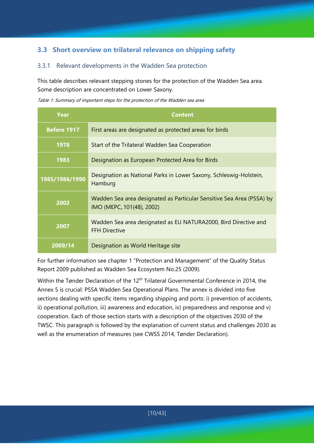# **3.3 Short overview on trilateral relevance on shipping safety**

### 3.3.1 Relevant developments in the Wadden Sea protection

This table describes relevant stepping stones for the protection of the Wadden Sea area. Some description are concentrated on Lower Saxony.

Table 1: Summary of important steps for the protection of the Wadden sea area

| Year           | <b>Content</b>                                                                                     |
|----------------|----------------------------------------------------------------------------------------------------|
| Before 1917    | First areas are designated as protected areas for birds                                            |
| 1978           | Start of the Trilateral Wadden Sea Cooperation                                                     |
| 1983           | Designation as European Protected Area for Birds                                                   |
| 1985/1986/1990 | Designation as National Parks in Lower Saxony, Schleswig-Holstein,<br>Hamburg                      |
| 2002           | Wadden Sea area designated as Particular Sensitive Sea Area (PSSA) by<br>IMO (MEPC, 101(48), 2002) |
| 2007           | Wadden Sea area designated as EU NATURA2000, Bird Directive and<br><b>FFH Directive</b>            |
| 2009/14        | Designation as World Heritage site                                                                 |

For further information see chapter 1 "Protection and Management" of the Quality Status Report 2009 published as Wadden Sea Ecosystem No.25 (2009).

Within the Tønder Declaration of the 12<sup>th</sup> Trilateral Governmental Conference in 2014, the Annex 5 is crucial: PSSA Wadden Sea Operational Plans. The annex is divided into five sections dealing with specific items regarding shipping and ports: i) prevention of accidents, ii) operational pollution, iii) awareness and education, iv) preparedness and response and v) cooperation. Each of those section starts with a description of the objectives 2030 of the TWSC. This paragraph is followed by the explanation of current status and challenges 2030 as well as the enumeration of measures (see CWSS 2014, Tønder Declaration).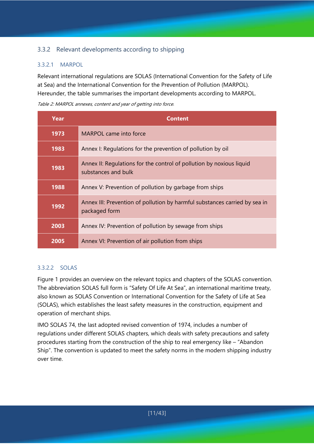# 3.3.2 Relevant developments according to shipping

### 3.3.2.1 MARPOL

Relevant international regulations are SOLAS (International Convention for the Safety of Life at Sea) and the International Convention for the Prevention of Pollution (MARPOL). Hereunder, the table summarises the important developments according to MARPOL.

Table 2: MARPOL annexes, content and year of getting into force.

| Year | <b>Content</b>                                                                              |
|------|---------------------------------------------------------------------------------------------|
| 1973 | MARPOL came into force                                                                      |
| 1983 | Annex I: Regulations for the prevention of pollution by oil                                 |
| 1983 | Annex II: Regulations for the control of pollution by noxious liquid<br>substances and bulk |
| 1988 | Annex V: Prevention of pollution by garbage from ships                                      |
| 1992 | Annex III: Prevention of pollution by harmful substances carried by sea in<br>packaged form |
| 2003 | Annex IV: Prevention of pollution by sewage from ships                                      |
| 2005 | Annex VI: Prevention of air pollution from ships                                            |

### 3.3.2.2 SOLAS

Figure 1 provides an overview on the relevant topics and chapters of the SOLAS convention. The abbreviation SOLAS full form is "Safety Of Life At Sea", an international maritime treaty, also known as SOLAS Convention or International Convention for the Safety of Life at Sea (SOLAS), which establishes the least safety measures in the construction, equipment and operation of merchant ships.

IMO SOLAS 74, the last adopted revised convention of 1974, includes a number of regulations under different SOLAS chapters, which deals with safety precautions and safety procedures starting from the construction of the ship to real emergency like – "Abandon Ship". The convention is updated to meet the safety norms in the modern shipping industry over time.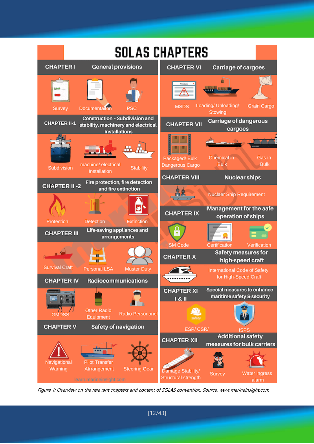

Figure 1: Overview on the relevant chapters and content of SOLAS convention. Source: www.marineinsight.com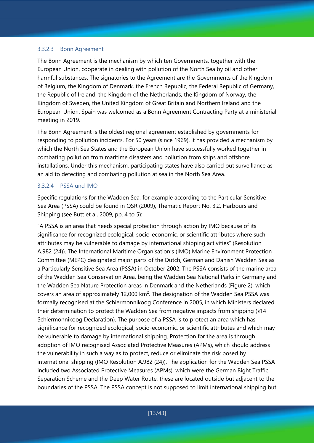#### 3.3.2.3 Bonn Agreement

The Bonn Agreement is the mechanism by which ten Governments, together with the European Union, cooperate in dealing with pollution of the North Sea by oil and other harmful substances. The signatories to the Agreement are the Governments of the Kingdom of Belgium, the Kingdom of Denmark, the French Republic, the Federal Republic of Germany, the Republic of Ireland, the Kingdom of the Netherlands, the Kingdom of Norway, the Kingdom of Sweden, the United Kingdom of Great Britain and Northern Ireland and the European Union. Spain was welcomed as a Bonn Agreement Contracting Party at a ministerial meeting in 2019.

The Bonn Agreement is the oldest regional agreement established by governments for responding to pollution incidents. For 50 years (since 1969), it has provided a mechanism by which the North Sea States and the European Union have successfully worked together in combating pollution from maritime disasters and pollution from ships and offshore installations. Under this mechanism, participating states have also carried out surveillance as an aid to detecting and combating pollution at sea in the North Sea Area.

#### 3.3.2.4 PSSA und IMO

Specific regulations for the Wadden Sea, for example according to the Particular Sensitive Sea Area (PSSA) could be found in QSR (2009), Thematic Report No. 3.2, Harbours and Shipping (see Butt et al, 2009, pp. 4 to 5):

"A PSSA is an area that needs special protection through action by IMO because of its significance for recognized ecological, socio-economic, or scientific attributes where such attributes may be vulnerable to damage by international shipping activities" (Resolution A.982 (24)). The International Maritime Organisation's (IMO) Marine Environment Protection Committee (MEPC) designated major parts of the Dutch, German and Danish Wadden Sea as a Particularly Sensitive Sea Area (PSSA) in October 2002. The PSSA consists of the marine area of the Wadden Sea Conservation Area, being the Wadden Sea National Parks in Germany and the Wadden Sea Nature Protection areas in Denmark and the Netherlands (Figure 2), which covers an area of approximately 12,000  $km^2$ . The designation of the Wadden Sea PSSA was formally recognised at the Schiermonnikoog Conference in 2005, in which Ministers declared their determination to protect the Wadden Sea from negative impacts from shipping (§14 Schiermonnikoog Declaration). The purpose of a PSSA is to protect an area which has significance for recognized ecological, socio-economic, or scientific attributes and which may be vulnerable to damage by international shipping. Protection for the area is through adoption of IMO recognised Associated Protective Measures (APMs), which should address the vulnerability in such a way as to protect, reduce or eliminate the risk posed by international shipping (IMO Resolution A.982 (24)). The application for the Wadden Sea PSSA included two Associated Protective Measures (APMs), which were the German Bight Traffic Separation Scheme and the Deep Water Route, these are located outside but adjacent to the boundaries of the PSSA. The PSSA concept is not supposed to limit international shipping but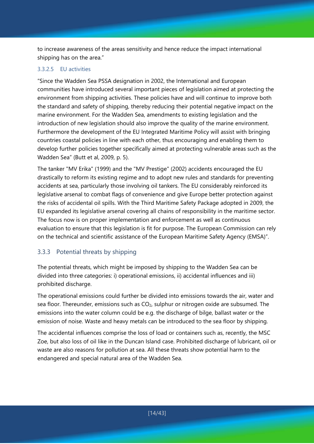to increase awareness of the areas sensitivity and hence reduce the impact international shipping has on the area."

#### 3.3.2.5 EU activities

"Since the Wadden Sea PSSA designation in 2002, the International and European communities have introduced several important pieces of legislation aimed at protecting the environment from shipping activities. These policies have and will continue to improve both the standard and safety of shipping, thereby reducing their potential negative impact on the marine environment. For the Wadden Sea, amendments to existing legislation and the introduction of new legislation should also improve the quality of the marine environment. Furthermore the development of the EU Integrated Maritime Policy will assist with bringing countries coastal policies in line with each other, thus encouraging and enabling them to develop further policies together specifically aimed at protecting vulnerable areas such as the Wadden Sea" (Butt et al, 2009, p. 5).

The tanker "MV Erika" (1999) and the "MV Prestige" (2002) accidents encouraged the EU drastically to reform its existing regime and to adopt new rules and standards for preventing accidents at sea, particularly those involving oil tankers. The EU considerably reinforced its legislative arsenal to combat flags of convenience and give Europe better protection against the risks of accidental oil spills. With the Third Maritime Safety Package adopted in 2009, the EU expanded its legislative arsenal covering all chains of responsibility in the maritime sector. The focus now is on proper implementation and enforcement as well as continuous evaluation to ensure that this legislation is fit for purpose. The European Commission can rely on the technical and scientific assistance of the European Maritime Safety Agency (EMSA)".

# 3.3.3 Potential threats by shipping

The potential threats, which might be imposed by shipping to the Wadden Sea can be divided into three categories: i) operational emissions, ii) accidental influences and iii) prohibited discharge.

The operational emissions could further be divided into emissions towards the air, water and sea floor. Thereunder, emissions such as  $CO<sub>2</sub>$ , sulphur or nitrogen oxide are subsumed. The emissions into the water column could be e.g. the discharge of bilge, ballast water or the emission of noise. Waste and heavy metals can be introduced to the sea floor by shipping.

The accidental influences comprise the loss of load or containers such as, recently, the MSC Zoe, but also loss of oil like in the Duncan Island case. Prohibited discharge of lubricant, oil or waste are also reasons for pollution at sea. All these threats show potential harm to the endangered and special natural area of the Wadden Sea.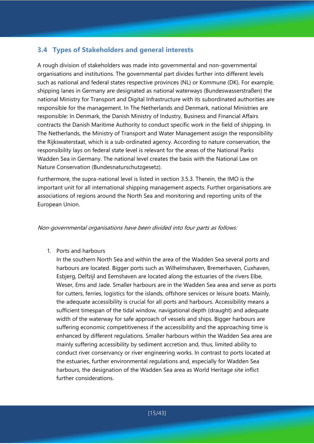# **3.4 Types of Stakeholders and general interests**

A rough division of stakeholders was made into governmental and non-governmental organisations and institutions. The governmental part divides further into different levels such as national and federal states respective provinces (NL) or Kommune (DK). For example, shipping lanes in Germany are designated as national waterways (Bundeswasserstraßen) the national Ministry for Transport and Digital Infrastructure with its subordinated authorities are responsible for the management. In The Netherlands and Denmark, national Ministries are responsible: In Denmark, the Danish Ministry of Industry, Business and Financial Affairs contracts the Danish Maritime Authority to conduct specific work in the field of shipping. In The Netherlands, the Ministry of Transport and Water Management assign the responsibility the Rijkswaterstaat, which is a sub-ordinated agency. According to nature conservation, the responsibility lays on federal state level is relevant for the areas of the National Parks Wadden Sea in Germany. The national level creates the basis with the National Law on Nature Conservation (Bundesnaturschutzgesetz).

Furthermore, the supra-national level is listed in section 3.5.3. Therein, the IMO is the important unit for all international shipping management aspects. Further organisations are associations of regions around the North Sea and monitoring and reporting units of the European Union.

#### Non-governmental organisations have been divided into four parts as follows:

1. Ports and harbours

In the southern North Sea and within the area of the Wadden Sea several ports and harbours are located. Bigger ports such as Wilhelmshaven, Bremerhaven, Cuxhaven, Esbjerg, Delfzijl and Eemshaven are located along the estuaries of the rivers Elbe, Weser, Ems and Jade. Smaller harbours are in the Wadden Sea area and serve as ports for cutters, ferries, logistics for the islands, offshore services or leisure boats. Mainly, the adequate accessibility is crucial for all ports and harbours. Accessibility means a sufficient timespan of the tidal window, navigational depth (draught) and adequate width of the waterway for safe approach of vessels and ships. Bigger harbours are suffering economic competitiveness if the accessibility and the approaching time is enhanced by different regulations. Smaller harbours within the Wadden Sea area are mainly suffering accessibility by sediment accretion and, thus, limited ability to conduct river conservancy or river engineering works. In contrast to ports located at the estuaries, further environmental regulations and, especially for Wadden Sea harbours, the designation of the Wadden Sea area as World Heritage site inflict further considerations.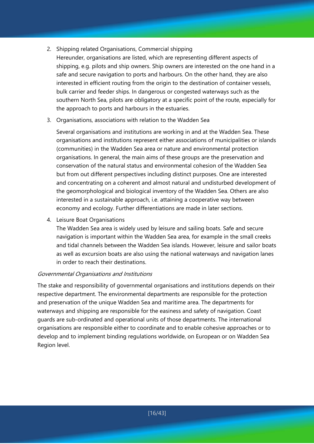- 2. Shipping related Organisations, Commercial shipping Hereunder, organisations are listed, which are representing different aspects of shipping, e.g. pilots and ship owners. Ship owners are interested on the one hand in a safe and secure navigation to ports and harbours. On the other hand, they are also interested in efficient routing from the origin to the destination of container vessels, bulk carrier and feeder ships. In dangerous or congested waterways such as the southern North Sea, pilots are obligatory at a specific point of the route, especially for the approach to ports and harbours in the estuaries.
- 3. Organisations, associations with relation to the Wadden Sea

Several organisations and institutions are working in and at the Wadden Sea. These organisations and institutions represent either associations of municipalities or islands (communities) in the Wadden Sea area or nature and environmental protection organisations. In general, the main aims of these groups are the preservation and conservation of the natural status and environmental cohesion of the Wadden Sea but from out different perspectives including distinct purposes. One are interested and concentrating on a coherent and almost natural and undisturbed development of the geomorphological and biological inventory of the Wadden Sea. Others are also interested in a sustainable approach, i.e. attaining a cooperative way between economy and ecology. Further differentiations are made in later sections.

4. Leisure Boat Organisations

The Wadden Sea area is widely used by leisure and sailing boats. Safe and secure navigation is important within the Wadden Sea area, for example in the small creeks and tidal channels between the Wadden Sea islands. However, leisure and sailor boats as well as excursion boats are also using the national waterways and navigation lanes in order to reach their destinations.

### Governmental Organisations and Institutions

The stake and responsibility of governmental organisations and institutions depends on their respective department. The environmental departments are responsible for the protection and preservation of the unique Wadden Sea and maritime area. The departments for waterways and shipping are responsible for the easiness and safety of navigation. Coast guards are sub-ordinated and operational units of those departments. The international organisations are responsible either to coordinate and to enable cohesive approaches or to develop and to implement binding regulations worldwide, on European or on Wadden Sea Region level.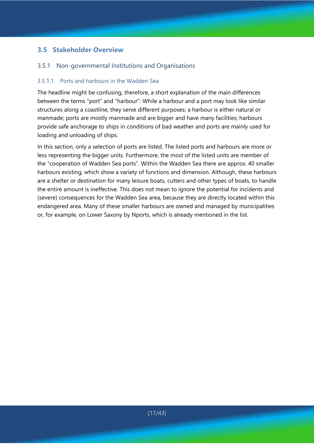# **3.5 Stakeholder Overview**

### 3.5.1 Non-governmental Institutions and Organisations

#### 3.5.1.1 Ports and harbours in the Wadden Sea

The headline might be confusing, therefore, a short explanation of the main differences between the terms "port" and "harbour": While a harbour and a port may look like similar structures along a coastline, they serve different purposes; a harbour is either natural or manmade; ports are mostly manmade and are bigger and have many facilities; harbours provide safe anchorage to ships in conditions of bad weather and ports are mainly used for loading and unloading of ships.

In this section, only a selection of ports are listed. The listed ports and harbours are more or less representing the bigger units. Furthermore, the most of the listed units are member of the "cooperation of Wadden Sea ports". Within the Wadden Sea there are approx. 40 smaller harbours existing, which show a variety of functions and dimension. Although, these harbours are a shelter or destination for many leisure boats, cutters and other types of boats, to handle the entire amount is ineffective. This does not mean to ignore the potential for incidents and (severe) consequences for the Wadden Sea area, because they are directly located within this endangered area. Many of these smaller harbours are owned and managed by municipalities or, for example, on Lower Saxony by Nports, which is already mentioned in the list.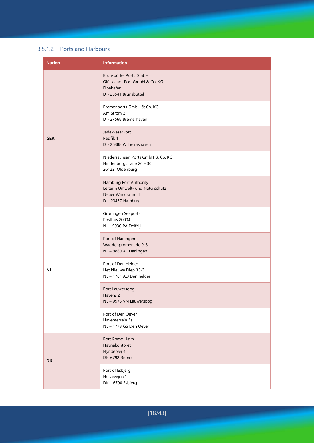#### 3.5.1.2 Ports and Harbours

| <b>Nation</b> | <b>Information</b>                                                                                    |
|---------------|-------------------------------------------------------------------------------------------------------|
|               | Brunsbüttel Ports GmbH<br>Glückstadt Port GmbH & Co. KG<br>Elbehafen<br>D - 25541 Brunsbüttel         |
|               | Bremenports GmbH & Co. KG<br>Am Strom 2<br>D - 27568 Bremerhaven                                      |
| <b>GER</b>    | <b>JadeWeserPort</b><br>Pazifik 1<br>D - 26388 Wilhelmshaven                                          |
|               | Niedersachsen Ports GmbH & Co. KG<br>Hindenburgstraße 26 - 30<br>26122 Oldenburg                      |
|               | Hamburg Port Authority<br>Leiterin Umwelt- und Naturschutz<br>Neuer Wandrahm 4<br>$D - 20457$ Hamburg |
|               | Groningen Seaports<br>Postbus 20004<br>NL - 9930 PA Delfzijl                                          |
|               | Port of Harlingen<br>Waddenpromenade 9-3<br>NL-8860 AE Harlingen                                      |
| <b>NL</b>     | Port of Den Helder<br>Het Nieuwe Diep 33-3<br>NL - 1781 AD Den helder                                 |
|               | Port Lauwersoog<br>Havens <sub>2</sub><br>NL-9976 VN Lauwersoog                                       |
|               | Port of Den Oever<br>Haventerrein 3a<br>NL-1779 GS Den Oever                                          |
| <b>DK</b>     | Port Rømø Havn<br>Havnekontoret<br>Flyndervej 4<br>DK-6792 Rømø                                       |
|               | Port of Esbjerg<br>Hulvevejen 1<br>DK-6700 Esbjerg                                                    |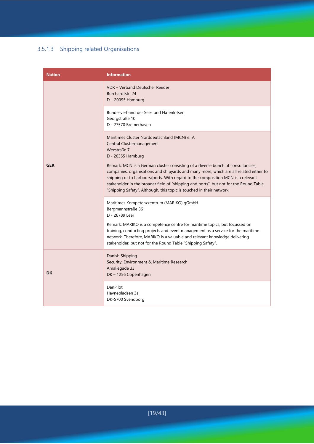# 3.5.1.3 Shipping related Organisations

| <b>Nation</b> | <b>Information</b>                                                                                                                                                                                                                                                                                                                                                                                                           |
|---------------|------------------------------------------------------------------------------------------------------------------------------------------------------------------------------------------------------------------------------------------------------------------------------------------------------------------------------------------------------------------------------------------------------------------------------|
|               | VDR - Verband Deutscher Reeder<br>Burchardtstr. 24<br>$D - 20095$ Hamburg                                                                                                                                                                                                                                                                                                                                                    |
|               | Bundesverband der See- und Hafenlotsen<br>Georgstraße 10<br>D - 27570 Bremerhaven                                                                                                                                                                                                                                                                                                                                            |
|               | Maritimes Cluster Norddeutschland (MCN) e.V.<br>Central Clustermanagement<br>Wexstraße 7<br>D - 20355 Hamburg                                                                                                                                                                                                                                                                                                                |
| <b>GER</b>    | Remark: MCN is a German cluster consisting of a diverse bunch of consultancies,<br>companies, organisations and shipyards and many more, which are all related either to<br>shipping or to harbours/ports. With regard to the composition MCN is a relevant<br>stakeholder in the broader field of "shipping and ports", but not for the Round Table<br>"Shipping Safety". Although, this topic is touched in their network. |
|               | Maritimes Kompetenzzentrum (MARIKO) gGmbH<br>Bergmannstraße 36<br>D - 26789 Leer                                                                                                                                                                                                                                                                                                                                             |
|               | Remark: MARIKO is a competence centre for maritime topics, but focussed on<br>training, conducting projects and event management as a service for the maritime<br>network. Therefore, MARIKO is a valuable and relevant knowledge delivering<br>stakeholder, but not for the Round Table "Shipping Safety".                                                                                                                  |
| <b>DK</b>     | Danish Shipping<br>Security, Environment & Maritime Research<br>Amaliegade 33<br>DK-1256 Copenhagen                                                                                                                                                                                                                                                                                                                          |
|               | DanPilot<br>Havnepladsen 3a<br>DK-5700 Svendborg                                                                                                                                                                                                                                                                                                                                                                             |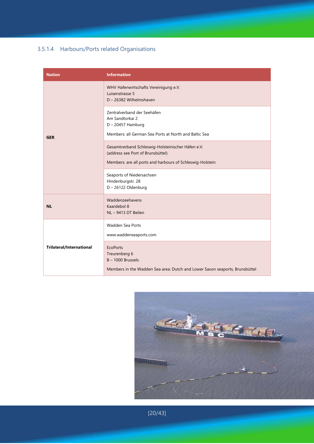# 3.5.1.4 Harbours/Ports related Organisations

| <b>Nation</b>                   | <b>Information</b>                                                                                                                                  |
|---------------------------------|-----------------------------------------------------------------------------------------------------------------------------------------------------|
|                                 | WHV Hafenwirtschafts Vereinigung e.V.<br>Luisenstrasse 5<br>D - 26382 Wilhelmshaven                                                                 |
| <b>GER</b>                      | Zentralverband der Seehäfen<br>Am Sandtorkai 2<br>$D - 20457$ Hamburg<br>Members: all German Sea Ports at North and Baltic Sea                      |
|                                 | Gesamtverband Schleswig-Holsteinischer Häfen e.V.<br>(address see Port of Brunsbüttel)<br>Members: are all ports and harbours of Schleswig-Holstein |
|                                 | Seaports of Niedersachsen<br>Hindenburgstr. 28<br>D-26122 Oldenburg                                                                                 |
| <b>NL</b>                       | Waddenzeehavens<br>Kaardebol 8<br>NL-9413 DT Beilen                                                                                                 |
|                                 | Wadden Sea Ports<br>www.waddenseaports.com                                                                                                          |
| <b>Trilateral/International</b> | <b>EcoPorts</b><br>Treurenberg 6<br>$B - 1000$ Brussels<br>Members in the Wadden Sea area: Dutch and Lower Saxon seaports, Brunsbüttel              |



[20/43]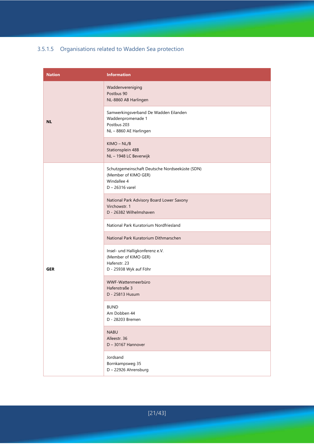# 3.5.1.5 Organisations related to Wadden Sea protection

| <b>Nation</b> | <b>Information</b>                                                                                         |
|---------------|------------------------------------------------------------------------------------------------------------|
|               | Waddenvereniging<br>Postbus 90<br>NL-8860 AB Harlingen                                                     |
| <b>NL</b>     | Samwerkingsverband De Wadden Eilanden<br>Waddenpromenade 1<br>Postbus 203<br>NL-8860 AE Harlingen          |
|               | $KIMO - NL/B$<br>Stationsplein 48B<br>NL-1948 LC Beverwijk                                                 |
|               | Schutzgemeinschaft Deutsche Nordseeküste (SDN)<br>(Member of KIMO GER)<br>Windallee 4<br>$D - 26316$ varel |
|               | National Park Advisory Board Lower Saxony<br>Virchowstr. 1<br>D - 26382 Wilhelmshaven                      |
|               | National Park Kuratorium Nordfriesland                                                                     |
|               | National Park Kuratorium Dithmarschen                                                                      |
| <b>GER</b>    | Insel- und Halligkonferenz e.V.<br>(Member of KIMO GER)<br>Hafenstr. 23<br>D - 25938 Wyk auf Föhr          |
|               | WWF-Wattenmeerbüro<br>Hafenstraße 3<br>D - 25813 Husum                                                     |
|               | <b>BUND</b><br>Am Dobben 44<br>D - 28203 Bremen                                                            |
|               | <b>NABU</b><br>Alleestr. 36<br>D - 30167 Hannover                                                          |
|               | Jordsand<br>Bornkampsweg 35<br>D - 22926 Ahrensburg                                                        |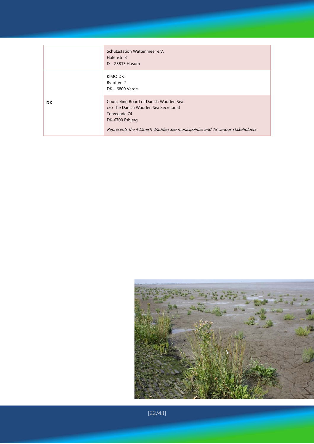|     | Schutzstation Wattenmeer e.V.<br>Hafenstr. 3<br>$D - 25813$ Husum                                                                          |
|-----|--------------------------------------------------------------------------------------------------------------------------------------------|
| DK. | KIMO DK<br>Bytoften 2<br>DK - 6800 Varde<br>Counceling Board of Danish Wadden Sea<br>c/o The Danish Wadden Sea Secretariat<br>Torvegade 74 |
|     | DK-6700 Esbjerg<br>Represents the 4 Danish Wadden Sea municipalities and 19 various stakeholders                                           |



[22/43]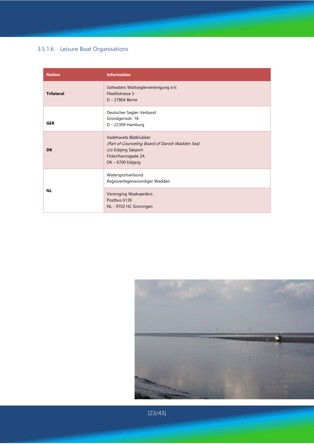# 3.5.1.6 Leisure Boat Organisations

| <b>Nation</b>     | <b>Information</b>                                                                                                                        |
|-------------------|-------------------------------------------------------------------------------------------------------------------------------------------|
| <b>Trilateral</b> | Soltwaters Wattseglervereinigung e.V.<br><b>Fleethstrasse 3</b><br>$D - 27804$ Berne                                                      |
| <b>GER</b>        | Deutscher Segler-Verband<br>Gründgensstr. 18<br>D - 22309 Hamburg                                                                         |
| <b>DK</b>         | Vadehavets Bådklubber<br>(Part of Counceling Board of Danish Wadden Sea)<br>c/o Esbjerg Søsport<br>Fiskerihavnsgade 2A<br>DK-6700 Esbjerg |
|                   | Watersportverbond<br>Regiovertegenwoordiger Wadden                                                                                        |
| <b>NL</b>         | Vereniging Wadvaarders<br>Postbus 6139<br>NL - 9702 HC Groningen                                                                          |



[23/43]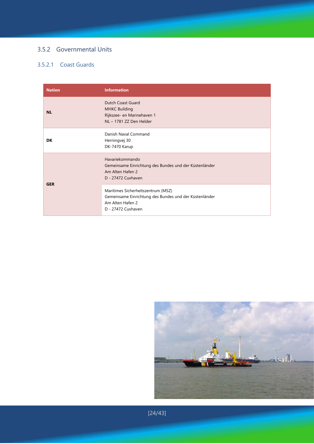# 3.5.2 Governmental Units

# 3.5.2.1 Coast Guards

| <b>Nation</b> | <b>Information</b>                                                                                                                     |
|---------------|----------------------------------------------------------------------------------------------------------------------------------------|
| <b>NL</b>     | Dutch Coast Guard<br><b>MHKC Building</b><br>Rijkszee- en Marinehaven 1<br>NL-1781 ZZ Den Helder                                       |
| DK            | Danish Naval Command<br>Herningvej 30<br>DK-7470 Karup                                                                                 |
|               | Havariekommando<br>Gemeinsame Einrichtung des Bundes und der Küstenländer<br>Am Alten Hafen 2<br>D - 27472 Cuxhaven                    |
| <b>GER</b>    | Maritimes Sicherheitszentrum (MSZ)<br>Gemeinsame Einrichtung des Bundes und der Küstenländer<br>Am Alten Hafen 2<br>D - 27472 Cuxhaven |



[24/43]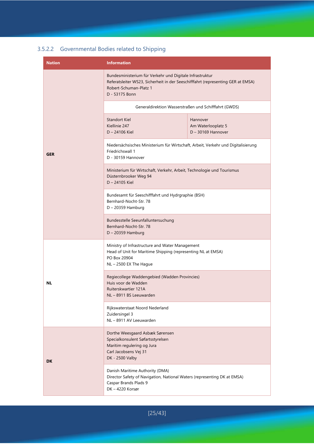# 3.5.2.2 Governmental Bodies related to Shipping

| <b>Nation</b> | <b>Information</b>                                                                                                                                                                       |                                                        |  |  |
|---------------|------------------------------------------------------------------------------------------------------------------------------------------------------------------------------------------|--------------------------------------------------------|--|--|
|               | Bundesministerium für Verkehr und Digitale Infrastruktur<br>Referatsleiter WS23, Sicherheit in der Seeschifffahrt (representing GER at EMSA)<br>Robert-Schuman-Platz 1<br>D - 53175 Bonn |                                                        |  |  |
|               | Generaldirektion Wasserstraßen und Schifffahrt (GWDS)                                                                                                                                    |                                                        |  |  |
| <b>GER</b>    | <b>Standort Kiel</b><br>Kiellinie 247<br>D - 24106 Kiel                                                                                                                                  | Hannover<br>Am Waterlooplatz 5<br>$D - 30169$ Hannover |  |  |
|               | Niedersächsisches Ministerium für Wirtschaft, Arbeit, Verkehr und Digitalisierung<br>Friedrichswall 1<br>D - 30159 Hannover                                                              |                                                        |  |  |
|               | Ministerium für Wirtschaft, Verkehr, Arbeit, Technologie und Tourismus<br>Düsternbrooker Weg 94<br>D - 24105 Kiel                                                                        |                                                        |  |  |
|               | Bundesamt für Seeschifffahrt und Hydrgraphie (BSH)<br>Bernhard-Nocht-Str. 78<br>$D - 20359$ Hamburg                                                                                      |                                                        |  |  |
|               | Bundesstelle Seeunfalluntersuchung<br>Bernhard-Nocht-Str. 78<br>D - 20359 Hamburg                                                                                                        |                                                        |  |  |
| NL            | Ministry of Infrastructure and Water Management<br>Head of Unit for Maritime Shipping (representing NL at EMSA)<br>PO Box 20904<br>$NL - 2500$ EX The Hague                              |                                                        |  |  |
|               | Regiecollege Waddengebied (Wadden Provincies)<br>Huis voor de Wadden<br>Ruiterskwartier 121A<br>NL-8911 BS Leeuwarden                                                                    |                                                        |  |  |
|               | Rijkswaterstaat Noord Nederland<br>Zuidersingel 3<br>NL-8911 AV Leeuwarden                                                                                                               |                                                        |  |  |
| DK            | Dorthe Weesgaard Asbæk Sørensen<br>Specialkonsulent Søfartsstyrelsen<br>Maritim regulering og Jura<br>Carl Jacobsens Vej 31<br>DK - 2500 Valby                                           |                                                        |  |  |
|               | Danish Maritime Authority (DMA)<br>Director Safety of Navigation, National Waters (representing DK at EMSA)<br>Caspar Brands Plads 9<br>DK-4220 Korsør                                   |                                                        |  |  |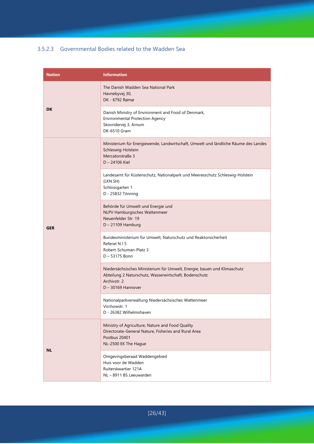#### 3.5.2.3 Governmental Bodies related to the Wadden Sea

| <b>Nation</b> | <b>Information</b>                                                                                                                                                         |  |
|---------------|----------------------------------------------------------------------------------------------------------------------------------------------------------------------------|--|
| DK            | The Danish Wadden Sea National Park<br>Havnebyvej 30,<br>DK - 6792 Rømø                                                                                                    |  |
|               | Danish Ministry of Environment and Food of Denmark,<br><b>Environmental Protection Agency</b><br>Skovridervej 3, Arnum<br>DK-6510 Gram                                     |  |
|               | Ministerium für Energiewende, Landwirtschaft, Umwelt und ländliche Räume des Landes<br>Schleswig-Holstein<br>Mercatorstraße 3<br>D - 24106 Kiel                            |  |
|               | Landesamt für Küstenschutz, Nationalpark und Meeresschutz Schleswig-Holstein<br>(LKN.SH)<br>Schlossgarten 1<br>D - 25832 Tönning                                           |  |
| <b>GER</b>    | Behörde für Umwelt und Energie und<br>NLPV Hamburgisches Wattenmeer<br>Neuenfelder Str. 19<br>$D - 21109$ Hamburg                                                          |  |
|               | Bundesministerium für Umwelt, Naturschutz und Reaktorsicherheit<br>Referat N I 5<br>Robert-Schuman-Platz 3<br>$D - 53175$ Bonn                                             |  |
|               | Niedersächsisches Ministerium für Umwelt, Energie, bauen und Klimaschutz<br>Abteilung 2 Naturschutz, Wasserwirtschaft, Bodenschutz<br>Archivstr. 2<br>$D - 30169$ Hannover |  |
|               | Nationalparkverwaltung Niedersächsisches Wattenmeer<br>Virchowstr. 1<br>D - 26382 Wilhelmshaven                                                                            |  |
| <b>NL</b>     | Ministry of Agriculture, Nature and Food Quality<br>Directorate-General Nature, Fisheries and Rural Area<br>Postbus 20401<br>NL-2500 EK The Hague                          |  |
|               | Omgevingsberaad Waddengebied<br>Huis voor de Wadden<br>Ruiterskwartier 121A<br>NL-8911 BS Leeuwarden                                                                       |  |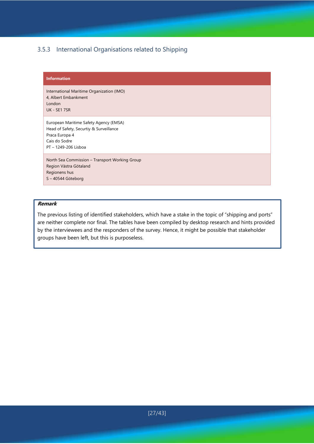### 3.5.3 International Organisations related to Shipping

#### **Information**

International Maritime Organization (IMO) 4, Albert Embankment London UK - SE1 7SR

European Maritime Safety Agency (EMSA) Head of Safety, Securtiy & Surveillance Praca Europa 4 Cais do Sodre PT – 1249-206 Lisboa

North Sea Commission – Transport Working Group Region Västra Götaland Regionens hus S – 40544 Göteborg

#### **Remark**

The previous listing of identified stakeholders, which have a stake in the topic of "shipping and ports" are neither complete nor final. The tables have been compiled by desktop research and hints provided by the interviewees and the responders of the survey. Hence, it might be possible that stakeholder groups have been left, but this is purposeless.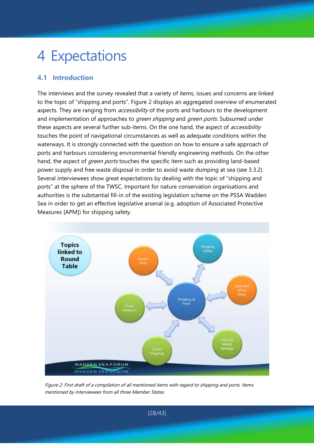# 4 Expectations

# **4.1 Introduction**

The interviews and the survey revealed that a variety of items, issues and concerns are linked to the topic of "shipping and ports". Figure 2 displays an aggregated overview of enumerated aspects. They are ranging from *accessibility* of the ports and harbours to the development and implementation of approaches to *green shipping* and *green ports*. Subsumed under these aspects are several further sub-items. On the one hand, the aspect of *accessibility* touches the point of navigational circumstances as well as adequate conditions within the waterways. It is strongly connected with the question on how to ensure a safe approach of ports and harbours considering environmental friendly engineering methods. On the other hand, the aspect of *green ports* touches the specific item such as providing land-based power supply and free waste disposal in order to avoid waste dumping at sea (see 3.3.2). Several interviewees show great expectations by dealing with the topic of "shipping and ports" at the sphere of the TWSC. Important for nature conservation organisations and authorities is the substantial fill-in of the existing legislation scheme on the PSSA Wadden Sea in order to get an effective legislative arsenal (e.g. adoption of Associated Protective Measures [APM]) for shipping safety.



Figure 2: First draft of a compilation of all mentioned items with regard to shipping and ports. Items mentioned by interviewees from all three Member States.

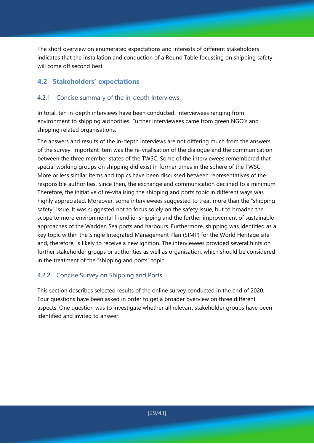The short overview on enumerated expectations and interests of different stakeholders indicates that the installation and conduction of a Round Table focussing on shipping safety will come off second best.

# **4.2 Stakeholders' expectations**

### 4.2.1 Concise summary of the in-depth Interviews

In total, ten in-depth interviews have been conducted. Interviewees ranging from environment to shipping authorities. Further interviewees came from green NGO's and shipping related organisations.

The answers and results of the in-depth interviews are not differing much from the answers of the survey. Important item was the re-vitalisation of the dialogue and the communication between the three member states of the TWSC. Some of the interviewees remembered that special working groups on shipping did exist in former times in the sphere of the TWSC. More or less similar items and topics have been discussed between representatives of the responsible authorities. Since then, the exchange and communication declined to a minimum. Therefore, the initiative of re-vitalising the shipping and ports topic in different ways was highly appreciated. Moreover, some interviewees suggested to treat more than the "shipping safety" issue. It was suggested not to focus solely on the safety issue, but to broaden the scope to more environmental friendlier shipping and the further improvement of sustainable approaches of the Wadden Sea ports and harbours. Furthermore, shipping was identified as a key topic within the Single Integrated Management Plan (SIMP) for the World Heritage site and, therefore, is likely to receive a new ignition. The interviewees provided several hints on further stakeholder groups or authorities as well as organisation, which should be considered in the treatment of the "shipping and ports" topic.

# 4.2.2 Concise Survey on Shipping and Ports

This section describes selected results of the online survey conducted in the end of 2020. Four questions have been asked in order to get a broader overview on three different aspects. One question was to investigate whether all relevant stakeholder groups have been identified and invited to answer.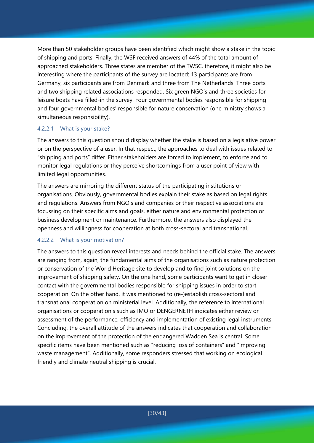More than 50 stakeholder groups have been identified which might show a stake in the topic of shipping and ports. Finally, the WSF received answers of 44% of the total amount of approached stakeholders. Three states are member of the TWSC, therefore, it might also be interesting where the participants of the survey are located: 13 participants are from Germany, six participants are from Denmark and three from The Netherlands. Three ports and two shipping related associations responded. Six green NGO's and three societies for leisure boats have filled-in the survey. Four governmental bodies responsible for shipping and four governmental bodies' responsible for nature conservation (one ministry shows a simultaneous responsibility).

#### 4.2.2.1 What is your stake?

The answers to this question should display whether the stake is based on a legislative power or on the perspective of a user. In that respect, the approaches to deal with issues related to "shipping and ports" differ. Either stakeholders are forced to implement, to enforce and to monitor legal regulations or they perceive shortcomings from a user point of view with limited legal opportunities.

The answers are mirroring the different status of the participating institutions or organisations. Obviously, governmental bodies explain their stake as based on legal rights and regulations. Answers from NGO's and companies or their respective associations are focussing on their specific aims and goals, either nature and environmental protection or business development or maintenance. Furthermore, the answers also displayed the openness and willingness for cooperation at both cross-sectoral and transnational.

### 4.2.2.2 What is your motivation?

The answers to this question reveal interests and needs behind the official stake. The answers are ranging from, again, the fundamental aims of the organisations such as nature protection or conservation of the World Heritage site to develop and to find joint solutions on the improvement of shipping safety. On the one hand, some participants want to get in closer contact with the governmental bodies responsible for shipping issues in order to start cooperation. On the other hand, it was mentioned to (re-)establish cross-sectoral and transnational cooperation on ministerial level. Additionally, the reference to international organisations or cooperation's such as IMO or DENGERNETH indicates either review or assessment of the performance, efficiency and implementation of existing legal instruments. Concluding, the overall attitude of the answers indicates that cooperation and collaboration on the improvement of the protection of the endangered Wadden Sea is central. Some specific items have been mentioned such as "reducing loss of containers" and "improving waste management". Additionally, some responders stressed that working on ecological friendly and climate neutral shipping is crucial.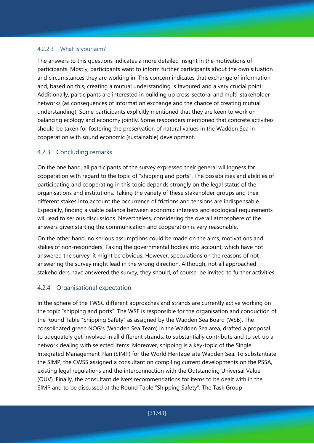#### 4.2.2.3 What is your aim?

The answers to this questions indicates a more detailed insight in the motivations of participants. Mostly, participants want to inform further participants about the own situation and circumstances they are working in. This concern indicates that exchange of information and, based on this, creating a mutual understanding is favoured and a very crucial point. Additionally, participants are interested in building up cross-sectoral and multi-stakeholder networks (as consequences of information exchange and the chance of creating mutual understanding). Some participants explicitly mentioned that they are keen to work on balancing ecology and economy jointly. Some responders mentioned that concrete activities should be taken for fostering the preservation of natural values in the Wadden Sea in cooperation with sound economic (sustainable) development.

### 4.2.3 Concluding remarks

On the one hand, all participants of the survey expressed their general willingness for cooperation with regard to the topic of "shipping and ports". The possibilities and abilities of participating and cooperating in this topic depends strongly on the legal status of the organisations and institutions. Taking the variety of these stakeholder groups and their different stakes into account the occurrence of frictions and tensions are indispensable. Especially, finding a viable balance between economic interests and ecological requirements will lead to serious discussions. Nevertheless, considering the overall atmosphere of the answers given starting the communication and cooperation is very reasonable.

On the other hand, no serious assumptions could be made on the aims, motivations and stakes of non-responders. Taking the governmental bodies into account, which have not answered the survey, it might be obvious. However, speculations on the reasons of not answering the survey might lead in the wrong direction. Although, not all approached stakeholders have answered the survey, they should, of course, be invited to further activities.

### 4.2.4 Organisational expectation

In the sphere of the TWSC different approaches and strands are currently active working on the topic "shipping and ports". The WSF is responsible for the organisation and conduction of the Round Table "Shipping Safety" as assigned by the Wadden Sea Board (WSB). The consolidated green NOG's (Wadden Sea Team) in the Wadden Sea area, drafted a proposal to adequately get involved in all different strands, to substantially contribute and to set-up a network dealing with selected items. Moreover, shipping is a key-topic of the Single Integrated Management Plan (SIMP) for the World Heritage site Wadden Sea. To substantiate the SIMP, the CWSS assigned a consultant on compiling current developments on the PSSA, existing legal regulations and the interconnection with the Outstanding Universal Value (OUV). Finally, the consultant delivers recommendations for items to be dealt with in the SIMP and to be discussed at the Round Table "Shipping Safety". The Task Group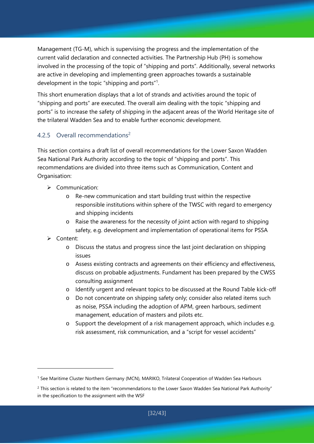Management (TG-M), which is supervising the progress and the implementation of the current valid declaration and connected activities. The Partnership Hub (PH) is somehow involved in the processing of the topic of "shipping and ports". Additionally, several networks are active in developing and implementing green approaches towards a sustainable development in the topic "shipping and ports"<sup>1</sup>.

This short enumeration displays that a lot of strands and activities around the topic of "shipping and ports" are executed. The overall aim dealing with the topic "shipping and ports" is to increase the safety of shipping in the adjacent areas of the World Heritage site of the trilateral Wadden Sea and to enable further economic development.

# 4.2.5 Overall recommendations<sup>2</sup>

This section contains a draft list of overall recommendations for the Lower Saxon Wadden Sea National Park Authority according to the topic of "shipping and ports". This recommendations are divided into three items such as Communication, Content and Organisation:

- $\triangleright$  Communication:
	- o Re-new communication and start building trust within the respective responsible institutions within sphere of the TWSC with regard to emergency and shipping incidents
	- o Raise the awareness for the necessity of joint action with regard to shipping safety, e.g. development and implementation of operational items for PSSA
- Content:

- o Discuss the status and progress since the last joint declaration on shipping issues
- o Assess existing contracts and agreements on their efficiency and effectiveness, discuss on probable adjustments. Fundament has been prepared by the CWSS consulting assignment
- o Identify urgent and relevant topics to be discussed at the Round Table kick-off
- o Do not concentrate on shipping safety only; consider also related items such as noise, PSSA including the adoption of APM, green harbours, sediment management, education of masters and pilots etc.
- o Support the development of a risk management approach, which includes e.g. risk assessment, risk communication, and a "script for vessel accidents"

<sup>1</sup> See Maritime Cluster Northern Germany (MCN), MARIKO, Trilateral Cooperation of Wadden Sea Harbours

<sup>&</sup>lt;sup>2</sup> This section is related to the item "recommendations to the Lower Saxon Wadden Sea National Park Authority" in the specification to the assignment with the WSF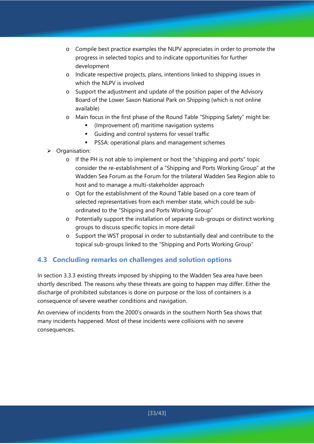- o Compile best practice examples the NLPV appreciates in order to promote the progress in selected topics and to indicate opportunities for further development
- o Indicate respective projects, plans, intentions linked to shipping issues in which the NLPV is involved
- o Support the adjustment and update of the position paper of the Advisory Board of the Lower Saxon National Park on Shipping (which is not online available)
- o Main focus in the first phase of the Round Table "Shipping Safety" might be:
	- (Improvement of) maritime navigation systems
	- Guiding and control systems for vessel traffic
	- **PSSA: operational plans and management schemes**
- > Organisation:
	- o If the PH is not able to implement or host the "shipping and ports" topic consider the re-establishment of a "Shipping and Ports Working Group" at the Wadden Sea Forum as the Forum for the trilateral Wadden Sea Region able to host and to manage a multi-stakeholder approach
	- o Opt for the establishment of the Round Table based on a core team of selected representatives from each member state, which could be subordinated to the "Shipping and Ports Working Group"
	- o Potentially support the installation of separate sub-groups or distinct working groups to discuss specific topics in more detail
	- o Support the WST proposal in order to substantially deal and contribute to the topical sub-groups linked to the "Shipping and Ports Working Group"

# **4.3 Concluding remarks on challenges and solution options**

In section 3.3.3 existing threats imposed by shipping to the Wadden Sea area have been shortly described. The reasons why these threats are going to happen may differ. Either the discharge of prohibited substances is done on purpose or the loss of containers is a consequence of severe weather conditions and navigation.

An overview of incidents from the 2000's onwards in the southern North Sea shows that many incidents happened. Most of these incidents were collisions with no severe consequences.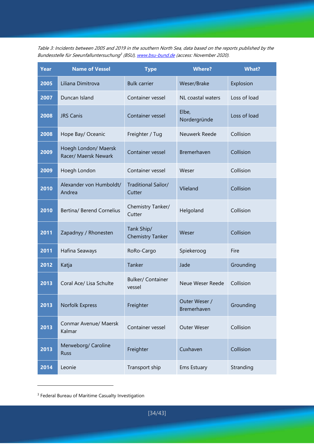Table 3: Incidents between 2005 and 2019 in the southern North Sea, data based on the reports published by the Bundesstelle für Seeunfalluntersuchung<sup>3</sup> (BSU), www.bsu-bund.de (access: November 2020).

| <b>Year</b> | <b>Name of Vessel</b>                        | <b>Type</b>                           | <b>Where?</b>                | <b>What?</b> |
|-------------|----------------------------------------------|---------------------------------------|------------------------------|--------------|
| 2005        | Liliana Dimitrova                            | <b>Bulk carrier</b>                   | Weser/Brake                  | Explosion    |
| 2007        | Duncan Island                                | Container vessel                      | NL coastal waters            | Loss of load |
| 2008        | <b>JRS Canis</b>                             | Container vessel                      | Elbe,<br>Nordergründe        | Loss of load |
| 2008        | Hope Bay/ Oceanic                            | Freighter / Tug                       | Neuwerk Reede                | Collision    |
| 2009        | Hoegh London/ Maersk<br>Racer/ Maersk Newark | Container vessel                      | Bremerhaven                  | Collision    |
| 2009        | Hoegh London                                 | Container vessel                      | Weser                        | Collision    |
| 2010        | Alexander von Humboldt/<br>Andrea            | Traditional Sailor/<br>Cutter         | Vlieland                     | Collision    |
| 2010        | <b>Bertina/ Berend Cornelius</b>             | Chemistry Tanker/<br>Cutter           | Helgoland                    | Collision    |
| 2011        | Zapadnyy / Rhonesten                         | Tank Ship/<br><b>Chemistry Tanker</b> | Weser                        | Collision    |
| 2011        | Hafina Seaways                               | RoRo-Cargo                            | Spiekeroog                   | Fire         |
| 2012        | Katja                                        | Tanker                                | Jade                         | Grounding    |
| 2013        | Coral Ace/ Lisa Schulte                      | <b>Bulker/ Container</b><br>vessel    | Neue Weser Reede             | Collision    |
| 2013        | Norfolk Express                              | Freighter                             | Outer Weser /<br>Bremerhaven | Grounding    |
| 2013        | Conmar Avenue/ Maersk<br>Kalmar              | Container vessel                      | <b>Outer Weser</b>           | Collision    |
| 2013        | Merweborg/ Caroline<br><b>Russ</b>           | Freighter                             | Cuxhaven                     | Collision    |
| 2014        | Leonie                                       | Transport ship                        | Ems Estuary                  | Stranding    |

<sup>&</sup>lt;sup>3</sup> Federal Bureau of Maritime Casualty Investigation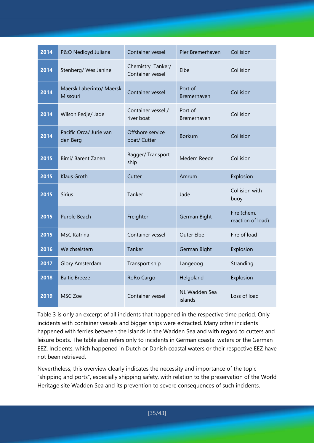| 2014 | P&O Nedloyd Juliana                  | Container vessel                      | Pier Bremerhaven         | Collision                        |
|------|--------------------------------------|---------------------------------------|--------------------------|----------------------------------|
| 2014 | Stenberg/ Wes Janine                 | Chemistry Tanker/<br>Container vessel | Elbe                     | Collision                        |
| 2014 | Maersk Laberinto/ Maersk<br>Missouri | Container vessel                      | Port of<br>Bremerhaven   | Collision                        |
| 2014 | Wilson Fedje/ Jade                   | Container vessel /<br>river boat      | Port of<br>Bremerhaven   | Collision                        |
| 2014 | Pacific Orca/ Jurie van<br>den Berg  | Offshore service<br>boat/ Cutter      | <b>Borkum</b>            | Collision                        |
| 2015 | Bimi/ Barent Zanen                   | Bagger/Transport<br>ship              | Medem Reede              | Collision                        |
| 2015 | <b>Klaus Groth</b>                   | Cutter                                | Amrum                    | Explosion                        |
| 2015 | <b>Sirius</b>                        | Tanker                                | Jade                     | Collision with<br>buoy           |
| 2015 | Purple Beach                         | Freighter                             | German Bight             | Fire (chem.<br>reaction of load) |
| 2015 | <b>MSC Katrina</b>                   | Container vessel                      | Outer Elbe               | Fire of load                     |
| 2016 | Weichselstern                        | Tanker                                | German Bight             | Explosion                        |
| 2017 | Glory Amsterdam                      | Transport ship                        | Langeoog                 | Stranding                        |
| 2018 | <b>Baltic Breeze</b>                 | RoRo Cargo                            | Helgoland                | Explosion                        |
| 2019 | MSC Zoe                              | Container vessel                      | NL Wadden Sea<br>islands | Loss of load                     |

Table 3 is only an excerpt of all incidents that happened in the respective time period. Only incidents with container vessels and bigger ships were extracted. Many other incidents happened with ferries between the islands in the Wadden Sea and with regard to cutters and leisure boats. The table also refers only to incidents in German coastal waters or the German EEZ. Incidents, which happened in Dutch or Danish coastal waters or their respective EEZ have not been retrieved.

Nevertheless, this overview clearly indicates the necessity and importance of the topic "shipping and ports", especially shipping safety, with relation to the preservation of the World Heritage site Wadden Sea and its prevention to severe consequences of such incidents.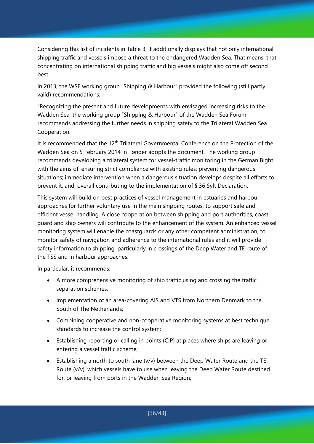Considering this list of incidents in Table 3, it additionally displays that not only international shipping traffic and vessels impose a threat to the endangered Wadden Sea. That means, that concentrating on international shipping traffic and big vessels might also come off second best.

In 2013, the WSF working group "Shipping & Harbour" provided the following (still partly valid) recommendations:

"Recognizing the present and future developments with envisaged increasing risks to the Wadden Sea, the working group "Shipping & Harbour" of the Wadden Sea Forum recommends addressing the further needs in shipping safety to the Trilateral Wadden Sea Cooperation.

It is recommended that the 12<sup>th</sup> Trilateral Governmental Conference on the Protection of the Wadden Sea on 5 February 2014 in Tønder adopts the document. The working group recommends developing a trilateral system for vessel-traffic monitoring in the German Bight with the aims of: ensuring strict compliance with existing rules; preventing dangerous situations; immediate intervention when a dangerous situation develops despite all efforts to prevent it; and, overall contributing to the implementation of § 36 Sylt Declaration.

This system will build on best practices of vessel management in estuaries and harbour approaches for further voluntary use in the main shipping routes, to support safe and efficient vessel handling. A close cooperation between shipping and port authorities, coast guard and ship owners will contribute to the enhancement of the system. An enhanced vessel monitoring system will enable the coastguards or any other competent administration, to monitor safety of navigation and adherence to the international rules and it will provide safety information to shipping, particularly in crossings of the Deep Water and TE route of the TSS and in harbour approaches.

In particular, it recommends:

- A more comprehensive monitoring of ship traffic using and crossing the traffic separation schemes;
- Implementation of an area-covering AIS and VTS from Northern Denmark to the South of The Netherlands;
- Combining cooperative and non-cooperative monitoring systems at best technique standards to increase the control system;
- Establishing reporting or calling in points (CIP) at places where ships are leaving or entering a vessel traffic scheme;
- Establishing a north to south lane  $(v/v)$  between the Deep Water Route and the TE Route (v/v), which vessels have to use when leaving the Deep Water Route destined for, or leaving from ports in the Wadden Sea Region;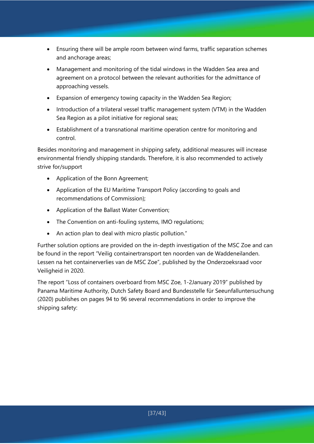- Ensuring there will be ample room between wind farms, traffic separation schemes and anchorage areas;
- Management and monitoring of the tidal windows in the Wadden Sea area and agreement on a protocol between the relevant authorities for the admittance of approaching vessels.
- Expansion of emergency towing capacity in the Wadden Sea Region;
- Introduction of a trilateral vessel traffic management system (VTM) in the Wadden Sea Region as a pilot initiative for regional seas;
- Establishment of a transnational maritime operation centre for monitoring and control.

Besides monitoring and management in shipping safety, additional measures will increase environmental friendly shipping standards. Therefore, it is also recommended to actively strive for/support

- Application of the Bonn Agreement;
- Application of the EU Maritime Transport Policy (according to goals and recommendations of Commission);
- Application of the Ballast Water Convention;
- The Convention on anti-fouling systems, IMO regulations;
- An action plan to deal with micro plastic pollution."

Further solution options are provided on the in-depth investigation of the MSC Zoe and can be found in the report "Veilig containertransport ten noorden van de Waddeneilanden. Lessen na het containerverlies van de MSC Zoe", published by the Onderzoeksraad voor Veiligheid in 2020.

The report "Loss of containers overboard from MSC Zoe, 1-2January 2019" published by Panama Maritime Authority, Dutch Safety Board and Bundesstelle für Seeunfalluntersuchung (2020) publishes on pages 94 to 96 several recommendations in order to improve the shipping safety: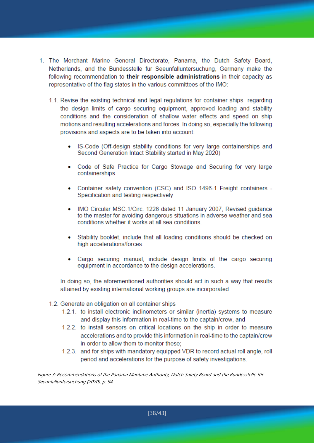- 1. The Merchant Marine General Directorate, Panama, the Dutch Safety Board, Netherlands, and the Bundesstelle für Seeunfalluntersuchung. Germany make the following recommendation to their responsible administrations in their capacity as representative of the flag states in the various committees of the IMO:
	- 1.1. Revise the existing technical and legal regulations for container ships regarding the design limits of cargo securing equipment, approved loading and stability conditions and the consideration of shallow water effects and speed on ship motions and resulting accelerations and forces. In doing so, especially the following provisions and aspects are to be taken into account:
		- IS-Code (Off-design stability conditions for very large containerships and Second Generation Intact Stability started in May 2020)
		- Code of Safe Practice for Cargo Stowage and Securing for very large containerships
		- Container safety convention (CSC) and ISO 1496-1 Freight containers -Specification and testing respectively
		- IMO Circular MSC.1/Circ. 1228 dated 11 January 2007, Revised quidance to the master for avoiding dangerous situations in adverse weather and sea conditions whether it works at all sea conditions.
		- Stability booklet, include that all loading conditions should be checked on high accelerations/forces.
		- Cargo securing manual, include design limits of the cargo securing equipment in accordance to the design accelerations.

In doing so, the aforementioned authorities should act in such a way that results attained by existing international working groups are incorporated.

- 1.2. Generate an obligation on all container ships
	- 1.2.1. to install electronic inclinometers or similar (inertia) systems to measure and display this information in real-time to the captain/crew, and
	- 1.2.2, to install sensors on critical locations on the ship in order to measure accelerations and to provide this information in real-time to the captain/crew in order to allow them to monitor these;
	- 1.2.3. and for ships with mandatory equipped VDR to record actual roll angle, roll period and accelerations for the purpose of safety investigations.

Figure 3: Recommendations of the Panama Maritime Authority, Dutch Safety Board and the Bundesstelle für Seeunfalluntersuchung (2020), p. 94.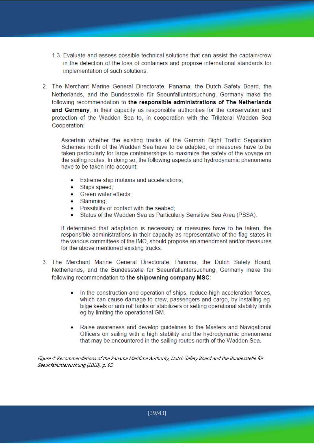- 1.3. Evaluate and assess possible technical solutions that can assist the captain/crew in the detection of the loss of containers and propose international standards for implementation of such solutions.
- 2. The Merchant Marine General Directorate, Panama, the Dutch Safety Board, the Netherlands, and the Bundesstelle für Seeunfalluntersuchung, Germany make the following recommendation to the responsible administrations of The Netherlands and Germany, in their capacity as responsible authorities for the conservation and protection of the Wadden Sea to, in cooperation with the Trilateral Wadden Sea Cooperation:

Ascertain whether the existing tracks of the German Bight Traffic Separation Schemes north of the Wadden Sea have to be adapted, or measures have to be taken particularly for large containerships to maximize the safety of the voyage on the sailing routes. In doing so, the following aspects and hydrodynamic phenomena have to be taken into account:

- Extreme ship motions and accelerations;
- Ships speed:
- Green water effects:
- Slamming;
- Possibility of contact with the seabed;
- Status of the Wadden Sea as Particularly Sensitive Sea Area (PSSA).

If determined that adaptation is necessary or measures have to be taken, the responsible administrations in their capacity as representative of the flag states in the various committees of the IMO, should propose an amendment and/or measures for the above mentioned existing tracks.

- 3. The Merchant Marine General Directorate, Panama, the Dutch Safety Board, Netherlands, and the Bundesstelle für Seeunfalluntersuchung, Germany make the following recommendation to the shipowning company MSC:
	- In the construction and operation of ships, reduce high acceleration forces. which can cause damage to crew, passengers and cargo, by installing eg. bilge keels or anti-roll tanks or stabilizers or setting operational stability limits eg by limiting the operational GM.
	- Raise awareness and develop guidelines to the Masters and Navigational Officers on sailing with a high stability and the hydrodynamic phenomena that may be encountered in the sailing routes north of the Wadden Sea.

Figure 4: Recommendations of the Panama Maritime Authority, Dutch Safety Board and the Bundesstelle für Seeunfalluntersuchung (2020), p. 95.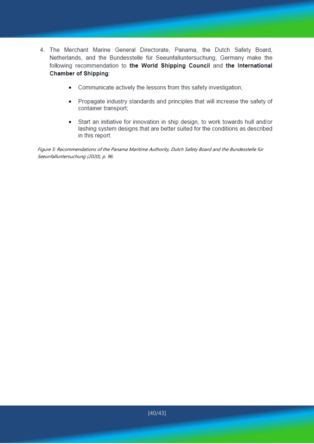- 4. The Merchant Marine General Directorate, Panama, the Dutch Safety Board, Netherlands, and the Bundesstelle für Seeunfalluntersuchung, Germany make the following recommendation to the World Shipping Council and the International **Chamber of Shipping:** 
	- Communicate actively the lessons from this safety investigation;  $\bullet$
	- Propagate industry standards and principles that will increase the safety of container transport;
	- Start an initiative for innovation in ship design, to work towards hull and/or lashing system designs that are better suited for the conditions as described in this report.

Figure 5: Recommendations of the Panama Maritime Authority, Dutch Safety Board and the Bundesstelle für Seeunfalluntersuchung (2020), p. 96.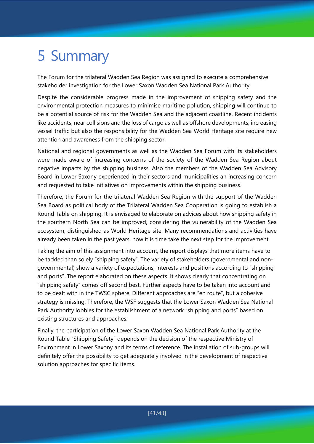# 5 Summary

The Forum for the trilateral Wadden Sea Region was assigned to execute a comprehensive stakeholder investigation for the Lower Saxon Wadden Sea National Park Authority.

Despite the considerable progress made in the improvement of shipping safety and the environmental protection measures to minimise maritime pollution, shipping will continue to be a potential source of risk for the Wadden Sea and the adjacent coastline. Recent incidents like accidents, near collisions and the loss of cargo as well as offshore developments, increasing vessel traffic but also the responsibility for the Wadden Sea World Heritage site require new attention and awareness from the shipping sector.

National and regional governments as well as the Wadden Sea Forum with its stakeholders were made aware of increasing concerns of the society of the Wadden Sea Region about negative impacts by the shipping business. Also the members of the Wadden Sea Advisory Board in Lower Saxony experienced in their sectors and municipalities an increasing concern and requested to take initiatives on improvements within the shipping business.

Therefore, the Forum for the trilateral Wadden Sea Region with the support of the Wadden Sea Board as political body of the Trilateral Wadden Sea Cooperation is going to establish a Round Table on shipping. It is envisaged to elaborate on advices about how shipping safety in the southern North Sea can be improved, considering the vulnerability of the Wadden Sea ecosystem, distinguished as World Heritage site. Many recommendations and activities have already been taken in the past years, now it is time take the next step for the improvement.

Taking the aim of this assignment into account, the report displays that more items have to be tackled than solely "shipping safety". The variety of stakeholders (governmental and nongovernmental) show a variety of expectations, interests and positions according to "shipping and ports". The report elaborated on these aspects. It shows clearly that concentrating on "shipping safety" comes off second best. Further aspects have to be taken into account and to be dealt with in the TWSC sphere. Different approaches are "en route", but a cohesive strategy is missing. Therefore, the WSF suggests that the Lower Saxon Wadden Sea National Park Authority lobbies for the establishment of a network "shipping and ports" based on existing structures and approaches.

Finally, the participation of the Lower Saxon Wadden Sea National Park Authority at the Round Table "Shipping Safety" depends on the decision of the respective Ministry of Environment in Lower Saxony and its terms of reference. The installation of sub-groups will definitely offer the possibility to get adequately involved in the development of respective solution approaches for specific items.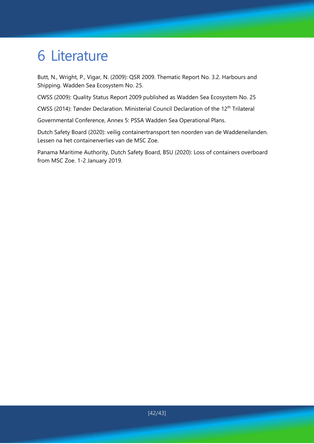# 6 Literature

Butt, N., Wright, P., Vigar, N. (2009): QSR 2009. Thematic Report No. 3.2. Harbours and Shipping. Wadden Sea Ecosystem No. 25.

CWSS (2009): Quality Status Report 2009 published as Wadden Sea Ecosystem No. 25

CWSS (2014): Tønder Declaration. Ministerial Council Declaration of the 12<sup>th</sup> Trilateral

Governmental Conference, Annex 5: PSSA Wadden Sea Operational Plans.

Dutch Safety Board (2020): veilig containertransport ten noorden van de Waddeneilanden. Lessen na het containerverlies van de MSC Zoe.

Panama Maritime Authority, Dutch Safety Board, BSU (2020): Loss of containers overboard from MSC Zoe. 1-2 January 2019.